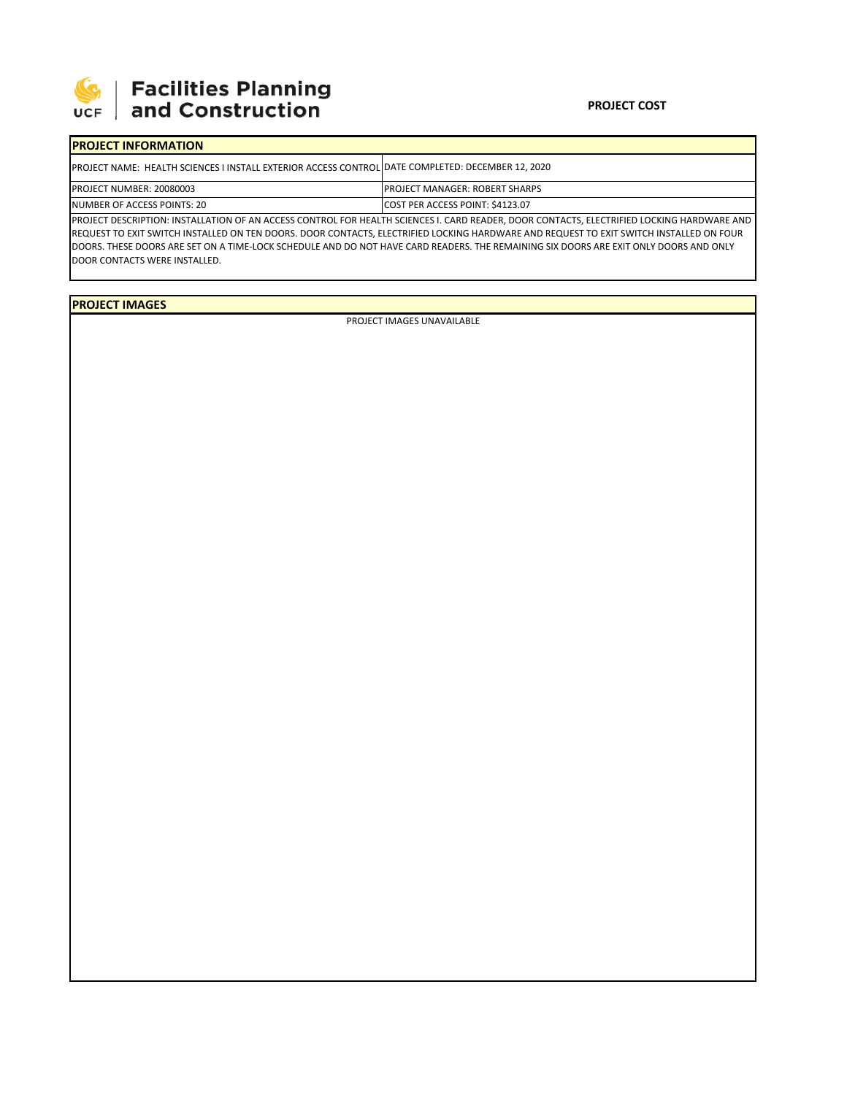

# | Facilities Planning<br>| and Construction

#### **PROJECT COST**

#### **PROJECT INFORMATION** PROJECT NAME: HEALTH SCIENCES I INSTALL EXTERIOR ACCESS CONTROL DATE COMPLETED: DECEMBER 12, 2020 PROJECT NUMBER: 20080003 NUMBER OF ACCESS POINTS: 20 COST PER ACCESS POINT: \$4123.07 PROJECT MANAGER: ROBERT SHARPS

PROJECT DESCRIPTION: INSTALLATION OF AN ACCESS CONTROL FOR HEALTH SCIENCES I. CARD READER, DOOR CONTACTS, ELECTRIFIED LOCKING HARDWARE AND REQUEST TO EXIT SWITCH INSTALLED ON TEN DOORS. DOOR CONTACTS, ELECTRIFIED LOCKING HARDWARE AND REQUEST TO EXIT SWITCH INSTALLED ON FOUR DOORS. THESE DOORS ARE SET ON A TIME‐LOCK SCHEDULE AND DO NOT HAVE CARD READERS. THE REMAINING SIX DOORS ARE EXIT ONLY DOORS AND ONLY DOOR CONTACTS WERE INSTALLED.

**PROJECT IMAGES**

PROJECT IMAGES UNAVAILABLE